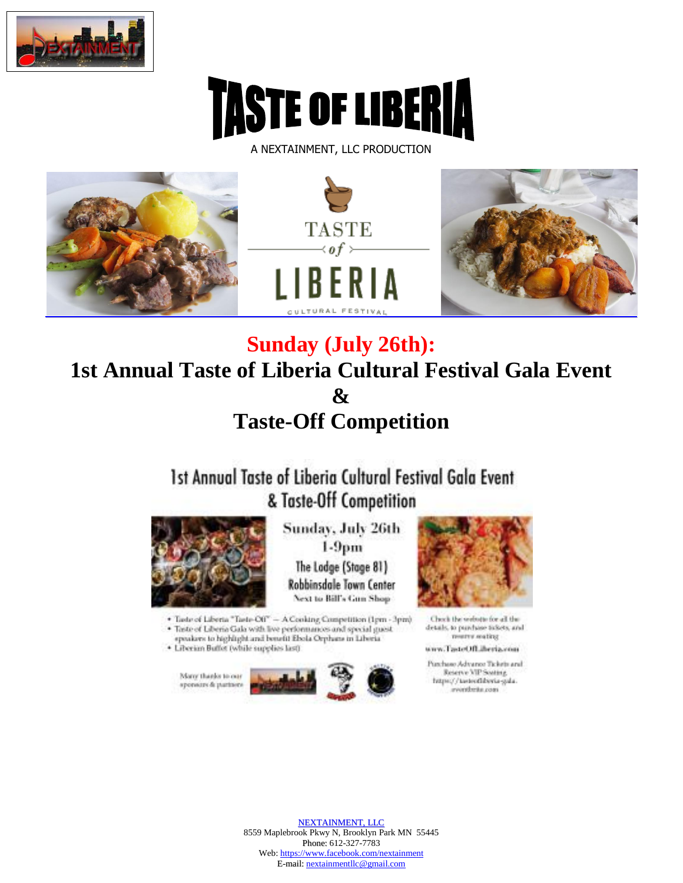



A NEXTAINMENT, LLC PRODUCTION



## **Sunday (July 26th): 1st Annual Taste of Liberia Cultural Festival Gala Event**  $\boldsymbol{\&}$ **Taste-Off Competition**

1st Annual Taste of Liberia Cultural Festival Gala Event & Taste-Off Competition



Sunday, July 26th  $1-9pm$ The Lodge (Stage 81) Robbinsdale Town Center Next to Bill's Gun Shop



 <br>• Taste of Liberta "Taste-Off" — A Cooking Competition (1pm - 3pm) · Taste of Liberia Gala with live performances and special guest speakers to highlight and benefit Ebola Orphans in Liberia

· Liberian Buffet (while supplies last)

Many thanks to our sponsors & partners



Check the webste for all the details, to purchase tickets, and menty mating

www.TasteOfLiberia.com

Punchase Advance Tickets and Reserve VIP Sosting. https://tasteofiberia-gala. avverdente com-

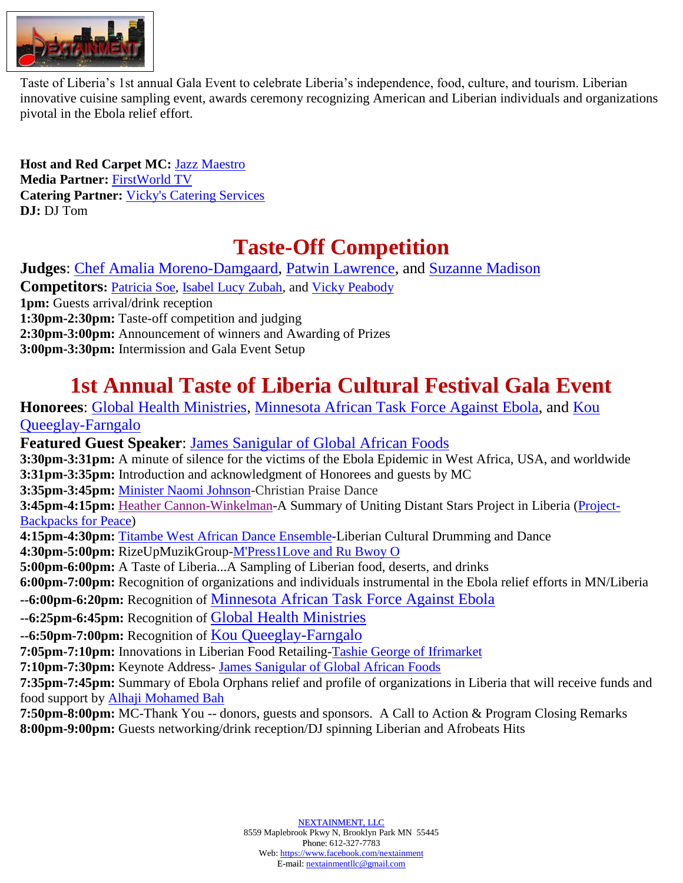

Taste of Liberia's 1st annual Gala Event to celebrate Liberia's independence, food, culture, and tourism. Liberian Taste of Elocha's 1st allingational Event to eclebrate Elocha's independence, 100d, culture, and tourism. Elochan<br>innovative cuisine sampling event, awards ceremony recognizing American and Liberian individuals and organiz pivotal in the Ebola relief effort.

**Host and Red Carpet MC:** [Jazz Maestro](http://www.tasteofliberia.com/festivalevents/jazz-maestro-biography/) **Media Partner:** [FirstWorld TV](http://www.tasteofliberia.com/festivalevents/firstworldtv-biography/) **Catering Partner:** [Vicky's Catering Services](http://www.tasteofliberia.com/festivalevents/victoria-peabody-biography/) **DJ:** DJ Tom

## **Taste-Off Competition**

**Judges**: [Chef Amalia Moreno-Damgaard,](http://www.tasteofliberia.com/festivalevents/amalia-moreno-damgaard-biography/) [Patwin Lawrence,](http://www.tasteofliberia.com/festivalevents/patwin-lawrence-biography/) and [Suzanne Madison](http://www.tasteofliberia.com/festivalevents/suzanne-madison-biography/) **Competitors: [Patricia Soe,](http://www.tasteofliberia.com/festivalevents/patricia-soe-biography/) [Isabel Lucy Zubah,](http://www.tasteofliberia.com/festivalevents/isabel-lucy-zubah-biography/) and [Vicky Peabody](http://www.tasteofliberia.com/festivalevents/victoria-peabody-biography/) 1pm:** Guests arrival/drink reception **1:30pm-2:30pm:** Taste-off competition and judging **2:30pm-3:00pm:** Announcement of winners and Awarding of Prizes **3:00pm-3:30pm:** Intermission and Gala Event Setup

## **1st Annual Taste of Liberia Cultural Festival Gala Event**

**Honorees**: [Global Health Ministries,](http://www.tasteofliberia.com/festivalevents/global-health-ministries-biography/) [Minnesota African Task Force Against Ebola,](http://www.tasteofliberia.com/festivalevents/minnesota-african-task-force-against-ebola-biography/) and [Kou](http://www.tasteofliberia.com/festivalevents/kou-queeglay-farngalo-biography/)  [Queeglay-Farngalo](http://www.tasteofliberia.com/festivalevents/kou-queeglay-farngalo-biography/) **Featured Guest Speaker**: [James Sanigular of Global African Foods](http://www.tasteofliberia.com/festivalevents/james-sanigular-biography/) **3:30pm-3:31pm:** A minute of silence for the victims of the Ebola Epidemic in West Africa, USA, and worldwide **3:31pm-3:35pm:** Introduction and acknowledgment of Honorees and guests by MC **3:35pm-3:45pm:** [Minister Naomi Johnson-](http://www.tasteofliberia.com/festivalevents/minister-naomi-johnson-biography/)Christian Praise Dance **3:45pm-4:15pm:** [Heather Cannon-Winkelman-](http://www.tasteofliberia.com/festivalevents/heather-cannon-winkelman-biography/)A Summary of Uniting Distant Stars Project in Liberia [\(Project-](http://www.unitingdistantstars.com/2015/03/launched-backpacks-for-peace-service.html)[Backpacks for Peace\)](http://www.unitingdistantstars.com/2015/03/launched-backpacks-for-peace-service.html) **4:15pm-4:30pm:** [Titambe West African Dance Ensemble-](http://www.tasteofliberia.com/festivalevents/titambe-west-african-dance-ensemble-biography/)Liberian Cultural Drumming and Dance **4:30pm-5:00pm:** RizeUpMuzikGroup[-M'Press1Love and Ru Bwoy O](http://www.tasteofliberia.com/festivalevents/mpress-1-love-biography/) **5:00pm-6:00pm:** A Taste of Liberia...A Sampling of Liberian food, deserts, and drinks **6:00pm-7:00pm:** Recognition of organizations and individuals instrumental in the Ebola relief efforts in MN/Liberia **--6:00pm-6:20pm:** Recognition of [Minnesota African Task Force Against Ebola](http://www.tasteofliberia.com/festivalevents/minnesota-african-task-force-against-ebola-biography/) **--6:25pm-6:45pm:** Recognition of [Global Health Ministries](http://www.tasteofliberia.com/festivalevents/global-health-ministries-biography/) **--6:50pm-7:00pm:** Recognition of [Kou Queeglay-Farngalo](http://www.tasteofliberia.com/festivalevents/kou-queeglay-farngalo-biography/) **7:05pm-7:10pm:** Innovations in Liberian Food Retailing[-Tashie George of Ifrimarket](http://www.tasteofliberia.com/festivalevents/tashie-george-biography/) **7:10pm-7:30pm:** Keynote Address- [James Sanigular of Global African Foods](http://www.tasteofliberia.com/festivalevents/james-sanigular-biography/) **7:35pm-7:45pm:** Summary of Ebola Orphans relief and profile of organizations in Liberia that will receive funds and food support by [Alhaji Mohamed Bah](http://www.tasteofliberia.com/festivalevents/minnesota-afri…bola-biography/) **7:50pm-8:00pm:** MC-Thank You -- donors, guests and sponsors. A Call to Action & Program Closing Remarks **8:00pm-9:00pm:** Guests networking/drink reception/DJ spinning Liberian and Afrobeats Hits